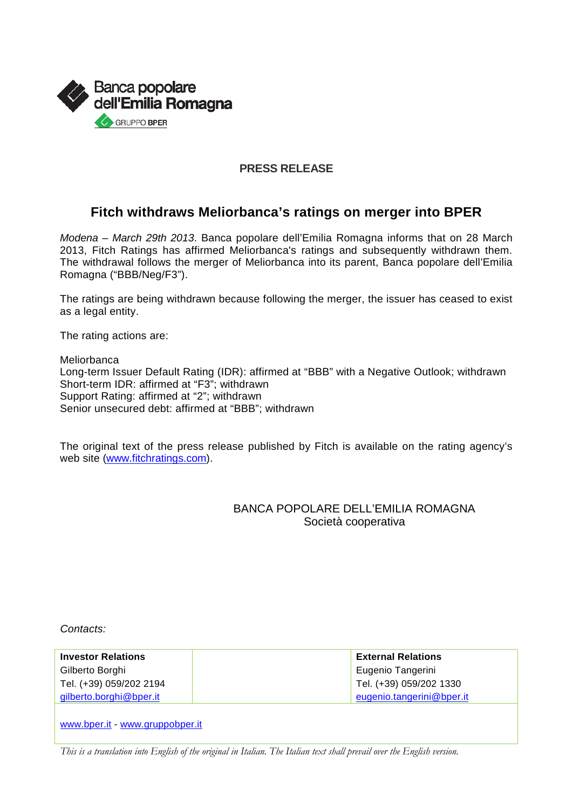

#### **PRESS RELEASE**

### **Fitch withdraws Meliorbanca's ratings on merger into BPER**

*Modena – March 29th 2013*. Banca popolare dell'Emilia Romagna informs that on 28 March 2013, Fitch Ratings has affirmed Meliorbanca's ratings and subsequently withdrawn them. The withdrawal follows the merger of Meliorbanca into its parent, Banca popolare dell'Emilia Romagna ("BBB/Neg/F3").

The ratings are being withdrawn because following the merger, the issuer has ceased to exist as a legal entity.

The rating actions are:

Meliorbanca Long-term Issuer Default Rating (IDR): affirmed at "BBB" with a Negative Outlook; withdrawn Short-term IDR: affirmed at "F3"; withdrawn Support Rating: affirmed at "2"; withdrawn Senior unsecured debt: affirmed at "BBB"; withdrawn

The original text of the press release published by Fitch is available on the rating agency's web site [\(www.fitchratings.com\)](http://www.fitchratings.com/).

#### BANCA POPOLARE DELL'EMILIA ROMAGNA Società cooperativa

*Contacts:*

| <b>Investor Relations</b> | <b>External Relations</b> |
|---------------------------|---------------------------|
| Gilberto Borghi           | Eugenio Tangerini         |
| Tel. (+39) 059/202 2194   | Tel. (+39) 059/202 1330   |
| gilberto.borghi@bper.it   | eugenio.tangerini@bper.it |

[www.bper.it](http://www.bper.it/) - [www.gruppobper.it](http://www.gruppobper.it/)

*This is a translation into English of the original in Italian. The Italian text shall prevail over the English version.*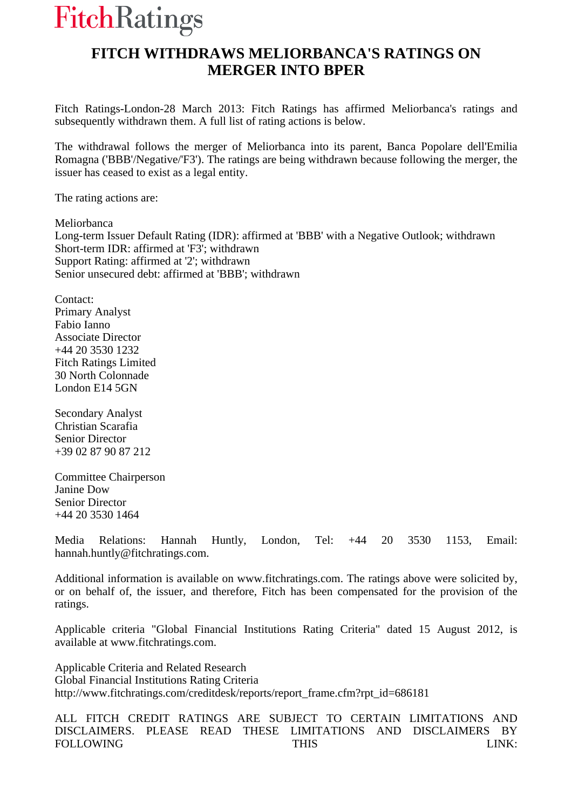# **FitchRatings**

## **FITCH WITHDRAWS MELIORBANCA'S RATINGS ON MERGER INTO BPER**

Fitch Ratings-London-28 March 2013: Fitch Ratings has affirmed Meliorbanca's ratings and subsequently withdrawn them. A full list of rating actions is below.

The withdrawal follows the merger of Meliorbanca into its parent, Banca Popolare dell'Emilia Romagna ('BBB'/Negative/'F3'). The ratings are being withdrawn because following the merger, the issuer has ceased to exist as a legal entity.

The rating actions are:

Meliorbanca Long-term Issuer Default Rating (IDR): affirmed at 'BBB' with a Negative Outlook; withdrawn Short-term IDR: affirmed at 'F3'; withdrawn Support Rating: affirmed at '2'; withdrawn Senior unsecured debt: affirmed at 'BBB'; withdrawn

Contact: Primary Analyst Fabio Ianno Associate Director +44 20 3530 1232 Fitch Ratings Limited 30 North Colonnade London E14 5GN

Secondary Analyst Christian Scarafia Senior Director +39 02 87 90 87 212

Committee Chairperson Janine Dow Senior Director +44 20 3530 1464

Media Relations: Hannah Huntly, London, Tel: +44 20 3530 1153, Email: hannah.huntly@fitchratings.com.

Additional information is available on www.fitchratings.com. The ratings above were solicited by, or on behalf of, the issuer, and therefore, Fitch has been compensated for the provision of the ratings.

Applicable criteria "Global Financial Institutions Rating Criteria" dated 15 August 2012, is available at www.fitchratings.com.

Applicable Criteria and Related Research Global Financial Institutions Rating Criteria http://www.fitchratings.com/creditdesk/reports/report\_frame.cfm?rpt\_id=686181

ALL FITCH CREDIT RATINGS ARE SUBJECT TO CERTAIN LIMITATIONS AND DISCLAIMERS. PLEASE READ THESE LIMITATIONS AND DISCLAIMERS BY FOLLOWING THIS THIS LINK: